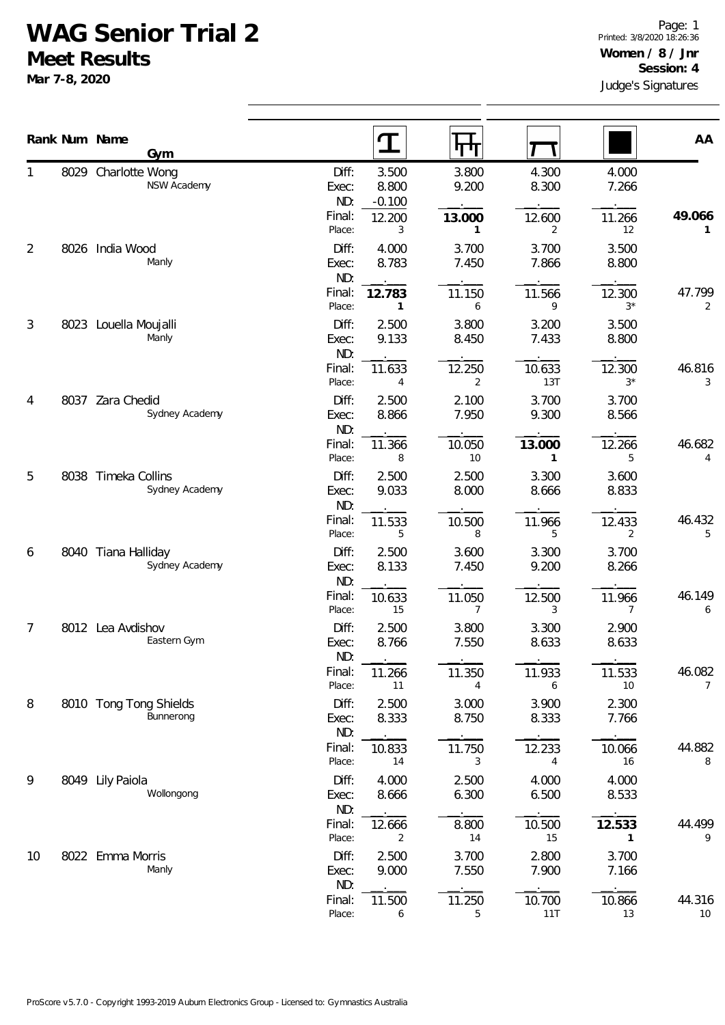## **WAG Senior Trial 2**

**Meet Results**

**Mar 7-8, 2020**

|                |      | Rank Num Name                      |                  | $\mathbf T$            |                |                |                 | AA           |
|----------------|------|------------------------------------|------------------|------------------------|----------------|----------------|-----------------|--------------|
|                |      | Gym                                |                  |                        | पग             |                |                 |              |
| 1              |      | 8029 Charlotte Wong<br>NSW Academy | Diff:<br>Exec:   | 3.500<br>8.800         | 3.800<br>9.200 | 4.300<br>8.300 | 4.000<br>7.266  |              |
|                |      |                                    | ND:              | $-0.100$               |                |                |                 |              |
|                |      |                                    | Final:<br>Place: | 12.200<br>3            | 13.000<br>1    | 12.600<br>2    | 11.266<br>12    | 49.066<br>1  |
| $\overline{2}$ | 8026 | India Wood                         | Diff:            | 4.000                  | 3.700          | 3.700          | 3.500           |              |
|                |      | Manly                              | Exec:            | 8.783                  | 7.450          | 7.866          | 8.800           |              |
|                |      |                                    | ND:              |                        |                |                |                 |              |
|                |      |                                    | Final:<br>Place: | 12.783<br>$\mathbf{1}$ | 11.150<br>6    | 11.566<br>9    | 12.300<br>$3^*$ | 47.799<br>2  |
| 3              |      |                                    | Diff:            | 2.500                  | 3.800          | 3.200          | 3.500           |              |
|                |      | 8023 Louella Moujalli<br>Manly     | Exec:            | 9.133                  | 8.450          | 7.433          | 8.800           |              |
|                |      |                                    | ND:              |                        |                |                |                 |              |
|                |      |                                    | Final:           | 11.633                 | 12.250         | 10.633         | 12.300          | 46.816       |
|                |      |                                    | Place:           | 4                      | 2              | 13T            | $3*$            | 3            |
| 4              | 8037 | Zara Chedid<br>Sydney Academy      | Diff:<br>Exec:   | 2.500<br>8.866         | 2.100<br>7.950 | 3.700<br>9.300 | 3.700<br>8.566  |              |
|                |      |                                    | ND:              |                        |                |                |                 |              |
|                |      |                                    | Final:           | 11.366                 | 10.050         | 13.000         | 12.266          | 46.682       |
|                |      |                                    | Place:           | 8                      | 10             | 1              | 5               | 4            |
| 5              | 8038 | Timeka Collins<br>Sydney Academy   | Diff:            | 2.500                  | 2.500          | 3.300          | 3.600           |              |
|                |      |                                    | Exec:<br>ND:     | 9.033                  | 8.000          | 8.666          | 8.833           |              |
|                |      |                                    | Final:           | 11.533                 | 10.500         | 11.966         | 12.433          | 46.432       |
|                |      |                                    | Place:           | 5                      | 8              | 5              | 2               | 5            |
| 6              |      | 8040 Tiana Halliday                | Diff:            | 2.500                  | 3.600          | 3.300          | 3.700           |              |
|                |      | Sydney Academy                     | Exec:<br>ND:     | 8.133                  | 7.450          | 9.200          | 8.266           |              |
|                |      |                                    | Final:           | 10.633                 | 11.050         | 12.500         | 11.966          | 46.149       |
|                |      |                                    | Place:           | 15                     | 7              | 3              | 7               | 6            |
| 7              |      | 8012 Lea Avdishov                  | Diff:            | 2.500                  | 3.800          | 3.300          | 2.900           |              |
|                |      | Eastern Gym                        | Exec:            | 8.766                  | 7.550          | 8.633          | 8.633           |              |
|                |      |                                    | ND:<br>Final:    | 11.266                 | 11.350         | 11.933         | 11.533          | 46.082       |
|                |      |                                    | Place:           | 11                     | 4              | 6              | 10              | 7            |
| 8              |      | 8010 Tong Tong Shields             | Diff:            | 2.500                  | 3.000          | 3.900          | 2.300           |              |
|                |      | Bunnerong                          | Exec:            | 8.333                  | 8.750          | 8.333          | 7.766           |              |
|                |      |                                    | ND:<br>Final:    | 10.833                 | 11.750         | 12.233         | 10.066          | 44.882       |
|                |      |                                    | Place:           | 14                     | 3              | 4              | 16              | 8            |
| 9              | 8049 | Lily Paiola                        | Diff:            | 4.000                  | 2.500          | 4.000          | 4.000           |              |
|                |      | Wollongong                         | Exec:            | 8.666                  | 6.300          | 6.500          | 8.533           |              |
|                |      |                                    | ND:              |                        |                |                |                 |              |
|                |      |                                    | Final:<br>Place: | 12.666<br>2            | 8.800<br>14    | 10.500<br>15   | 12.533<br>1     | 44.499<br>9  |
| 10             |      | 8022 Emma Morris                   | Diff:            | 2.500                  | 3.700          | 2.800          | 3.700           |              |
|                |      | Manly                              | Exec:            | 9.000                  | 7.550          | 7.900          | 7.166           |              |
|                |      |                                    | ND:              |                        |                |                |                 |              |
|                |      |                                    | Final:<br>Place: | 11.500<br>6            | 11.250<br>5    | 10.700<br>11T  | 10.866<br>13    | 44.316<br>10 |